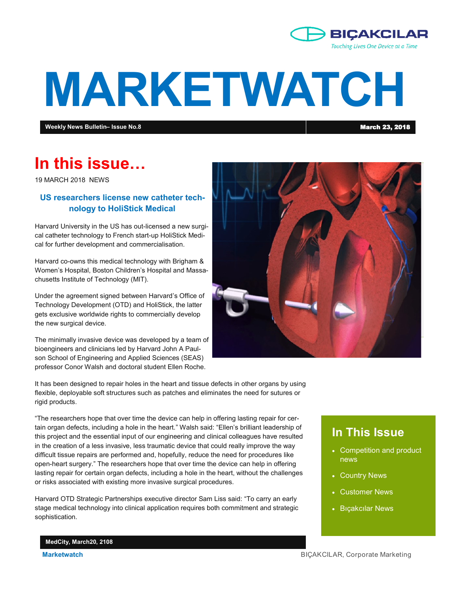

# **MARKETWATCH**

**Weekly News Bulletin– Issue No.8** March 23, 2018

## **In this issue…**

19 MARCH 2018 NEWS

#### **US researchers license new catheter technology to HoliStick Medical**

Harvard University in the US has out-licensed a new surgical catheter technology to French start-up HoliStick Medical for further development and commercialisation.

Harvard co-owns this medical technology with Brigham & Women's Hospital, Boston Children's Hospital and Massachusetts Institute of Technology (MIT).

Under the agreement signed between Harvard's Office of Technology Development (OTD) and HoliStick, the latter gets exclusive worldwide rights to commercially develop the new surgical device.

The minimally invasive device was developed by a team of bioengineers and clinicians led by Harvard John A Paulson School of Engineering and Applied Sciences (SEAS) professor Conor Walsh and doctoral student Ellen Roche.



It has been designed to repair holes in the heart and tissue defects in other organs by using flexible, deployable soft structures such as patches and eliminates the need for sutures or rigid products.

"The researchers hope that over time the device can help in offering lasting repair for certain organ defects, including a hole in the heart." Walsh said: "Ellen's brilliant leadership of this project and the essential input of our engineering and clinical colleagues have resulted in the creation of a less invasive, less traumatic device that could really improve the way difficult tissue repairs are performed and, hopefully, reduce the need for procedures like open-heart surgery." The researchers hope that over time the device can help in offering lasting repair for certain organ defects, including a hole in the heart, without the challenges or risks associated with existing more invasive surgical procedures.

Harvard OTD Strategic Partnerships executive director Sam Liss said: "To carry an early stage medical technology into clinical application requires both commitment and strategic sophistication.

### **In This Issue**

- Competition and product news
- Country News
- Customer News
- Bıçakcılar News

**MedCity, March20, 2108**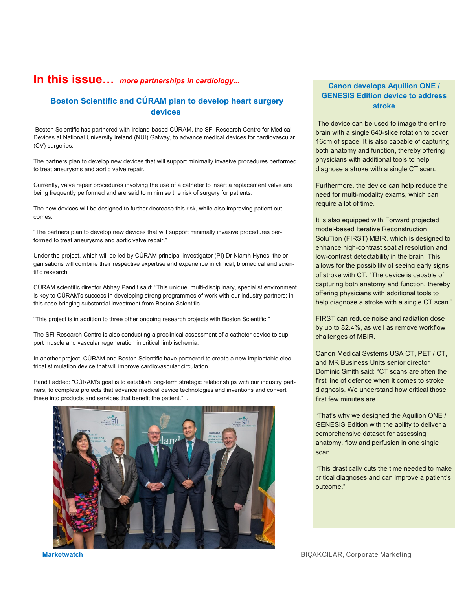#### **In this issue…** *more partnerships in cardiology...*

#### **Boston Scientific and CÚRAM plan to develop heart surgery devices**

Boston Scientific has partnered with Ireland-based CÚRAM, the SFI Research Centre for Medical Devices at National University Ireland (NUI) Galway, to advance medical devices for cardiovascular (CV) surgeries.

The partners plan to develop new devices that will support minimally invasive procedures performed to treat aneurysms and aortic valve repair.

Currently, valve repair procedures involving the use of a catheter to insert a replacement valve are being frequently performed and are said to minimise the risk of surgery for patients.

The new devices will be designed to further decrease this risk, while also improving patient outcomes.

"The partners plan to develop new devices that will support minimally invasive procedures performed to treat aneurysms and aortic valve repair."

Under the project, which will be led by CÚRAM principal investigator (PI) Dr Niamh Hynes, the organisations will combine their respective expertise and experience in clinical, biomedical and scientific research.

CÚRAM scientific director Abhay Pandit said: "This unique, multi-disciplinary, specialist environment is key to CÚRAM's success in developing strong programmes of work with our industry partners; in this case bringing substantial investment from Boston Scientific.

"This project is in addition to three other ongoing research projects with Boston Scientific."

The SFI Research Centre is also conducting a preclinical assessment of a catheter device to support muscle and vascular regeneration in critical limb ischemia.

In another project, CÚRAM and Boston Scientific have partnered to create a new implantable electrical stimulation device that will improve cardiovascular circulation.

Pandit added: "CÚRAM's goal is to establish long-term strategic relationships with our industry partners, to complete projects that advance medical device technologies and inventions and convert these into products and services that benefit the patient." .



#### **Canon develops Aquilion ONE / GENESIS Edition device to address stroke**

The device can be used to image the entire brain with a single 640-slice rotation to cover 16cm of space. It is also capable of capturing both anatomy and function, thereby offering physicians with additional tools to help diagnose a stroke with a single CT scan.

Furthermore, the device can help reduce the need for multi-modality exams, which can require a lot of time.

It is also equipped with Forward projected model-based Iterative Reconstruction SoluTion (FIRST) MBIR, which is designed to enhance high-contrast spatial resolution and low-contrast detectability in the brain. This allows for the possibility of seeing early signs of stroke with CT. "The device is capable of capturing both anatomy and function, thereby offering physicians with additional tools to help diagnose a stroke with a single CT scan."

FIRST can reduce noise and radiation dose by up to 82.4%, as well as remove workflow challenges of MBIR.

Canon Medical Systems USA CT, PET / CT, and MR Business Units senior director Dominic Smith said: "CT scans are often the first line of defence when it comes to stroke diagnosis. We understand how critical those first few minutes are.

"That's why we designed the Aquilion ONE / GENESIS Edition with the ability to deliver a comprehensive dataset for assessing anatomy, flow and perfusion in one single scan.

"This drastically cuts the time needed to make critical diagnoses and can improve a patient's outcome."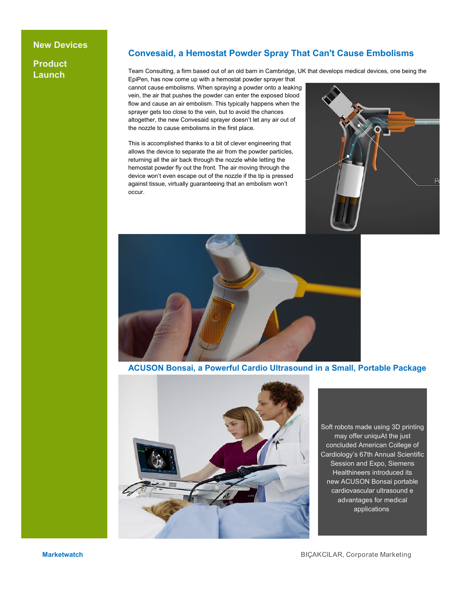#### **New Devices**

**Product Launch**

#### **Convesaid, a Hemostat Powder Spray That Can't Cause Embolisms**

Team Consulting, a firm based out of an old barn in Cambridge, UK that develops medical devices, one being the EpiPen, has now come up with a hemostat powder sprayer that

cannot cause embolisms. When spraying a powder onto a leaking vein, the air that pushes the powder can enter the exposed blood flow and cause an air embolism. This typically happens when the sprayer gets too close to the vein, but to avoid the chances altogether, the new Convesaid sprayer doesn't let any air out of the nozzle to cause embolisms in the first place.

This is accomplished thanks to a bit of clever engineering that allows the device to separate the air from the powder particles, returning all the air back through the nozzle while letting the hemostat powder fly out the front. The air moving through the device won't even escape out of the nozzle if the tip is pressed against tissue, virtually guaranteeing that an embolism won't occur.





**ACUSON Bonsai, a Powerful Cardio Ultrasound in a Small, Portable Package**



Soft robots made using 3D printing may offer uniquAt the just concluded American College of Cardiology's 67th Annual Scientific Session and Expo, Siemens Healthineers introduced its new ACUSON Bonsai portable cardiovascular ultrasound e advantages for medical applications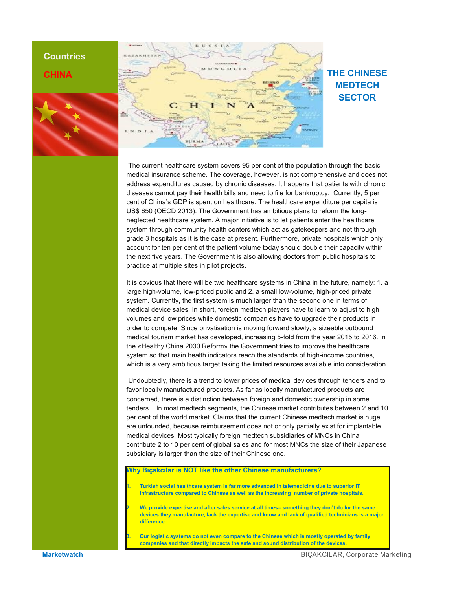#### **Countries**

#### **CHINA**





#### **THE CHINESE MEDTECH SECTOR**

The current healthcare system covers 95 per cent of the population through the basic medical insurance scheme. The coverage, however, is not comprehensive and does not address expenditures caused by chronic diseases. It happens that patients with chronic diseases cannot pay their health bills and need to file for bankruptcy. Currently, 5 per cent of China's GDP is spent on healthcare. The healthcare expenditure per capita is US\$ 650 (OECD 2013). The Government has ambitious plans to reform the longneglected healthcare system. A major initiative is to let patients enter the healthcare system through community health centers which act as gatekeepers and not through grade 3 hospitals as it is the case at present. Furthermore, private hospitals which only account for ten per cent of the patient volume today should double their capacity within the next five years. The Government is also allowing doctors from public hospitals to practice at multiple sites in pilot projects.

It is obvious that there will be two healthcare systems in China in the future, namely: 1. a large high-volume, low-priced public and 2. a small low-volume, high-priced private system. Currently, the first system is much larger than the second one in terms of medical device sales. In short, foreign medtech players have to learn to adjust to high volumes and low prices while domestic companies have to upgrade their products in order to compete. Since privatisation is moving forward slowly, a sizeable outbound medical tourism market has developed, increasing 5-fold from the year 2015 to 2016. In the «Healthy China 2030 Reform» the Government tries to improve the healthcare system so that main health indicators reach the standards of high-income countries, which is a very ambitious target taking the limited resources available into consideration.

Undoubtedly, there is a trend to lower prices of medical devices through tenders and to favor locally manufactured products. As far as locally manufactured products are concerned, there is a distinction between foreign and domestic ownership in some tenders. In most medtech segments, the Chinese market contributes between 2 and 10 per cent of the world market. Claims that the current Chinese medtech market is huge are unfounded, because reimbursement does not or only partially exist for implantable medical devices. Most typically foreign medtech subsidiaries of MNCs in China contribute 2 to 10 per cent of global sales and for most MNCs the size of their Japanese subsidiary is larger than the size of their Chinese one.

**Bicakcilar is NOT like the other Chinese manufacturers?** 

- **1. Turkish social healthcare system is far more advanced in telemedicine due to superior IT infrastructure compared to Chinese as well as the increasing number of private hospitals.**
- **2. We provide expertise and after sales service at all times– something they don't do for the same devices they manufacture, lack the expertise and know and lack of qualified technicians is a major difference**

**3. Our logistic systems do not even compare to the Chinese which is mostly operated by family companies and that directly impacts the safe and sound distribution of the devices.**